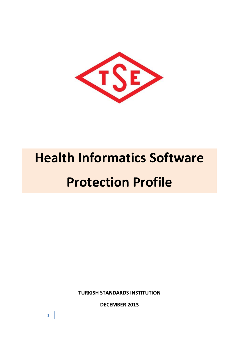

# **Health Informatics Software Protection Profile**

**TURKISH STANDARDS INSTITUTION**

**DECEMBER 2013**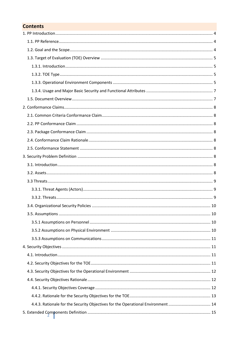# **Contents**

| 4.4.3. Rationale for the Security Objectives for the Operational Environment  14 |  |
|----------------------------------------------------------------------------------|--|
|                                                                                  |  |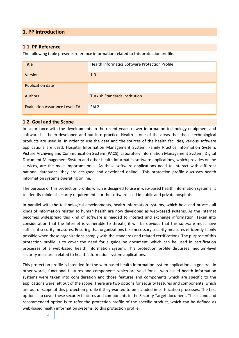# <span id="page-3-0"></span>**1. PP Introduction**

#### <span id="page-3-1"></span>**1.1. PP Reference**

The following table presents reference information related to this protection profile.

| <b>Title</b>                            | Health Informatics Software Protection Profile |
|-----------------------------------------|------------------------------------------------|
| Version                                 | 1.0                                            |
| <b>Publication date</b>                 |                                                |
| <b>Authors</b>                          | <b>Turkish Standards Institution</b>           |
| <b>Evaluation Assurance Level (EAL)</b> | EAL <sub>2</sub>                               |

#### <span id="page-3-2"></span>**1.2. Goal and the Scope**

In accordance with the developments in the recent years, newer information technology equipment and software has been developed and put into practice. Health is one of the areas that those technological products are used in. In order to use the data and the sources of the health facilities, various software applications are used. Hospital Information Management System, Family Practice Information System, Picture Archiving and Communication System (PACS), Laboratory Information Management System, Digital Document Management System and other health informatics software applications, which provides online services, are the most important ones. As these software applications need to interact with different national databases, they are designed and developed online. This protection profile discusses health information systems operating online.

The purpose of this protection profile, which is designed to use in web-based health information systems, is to identify minimal security requirements for the software used in public and private hospitals.

In parallel with the technological developments, health information systems, which host and process all kinds of information related to human health are now developed as web-based systems. As the Internet becomes widespread this kind of software is needed to interact and exchange information. Taken into consideration that the Internet is vulnerable to threats, it will be obvious that this software must have sufficient security measures. Ensuring that organizations take necessary security measures efficiently is only possible when these organizations comply with the standards and related certifications. The purpose of this protection profile is to cover the need for a guideline document, which can be used in certification processes of a web-based health information system. This protection profile discusses medium-level security measures related to health information system applications.

This protection profile is intended for the web-based health information system applications in general. In other words, functional features and components which are valid for all web-based health information systems were taken into consideration and those features and components which are specific to the applications were left out of the scope. There are two options for security features and components, which are out of scope of this protection profile if they wanted to be included in certification processes. The first option is to cover these security features and components in the Security Target document. The second and recommended option is to refer the protection profile of the specific product, which can be defined as web-based health information systems, to this protection profile.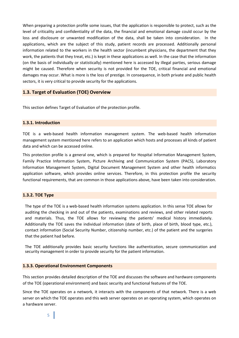When preparing a protection profile some issues, that the application is responsible to protect, such as the level of criticality and confidentiality of the data, the financial and emotional damage could occur by the loss and disclosure or unwanted modification of the data, shall be taken into consideration. In the applications, which are the subject of this study, patient records are processed. Additionally personal information related to the workers in the health sector (incumbent physicians, the department that they work, the patients that they treat, etc.) is kept in these applications as well. In the case that the information (on the basis of individually or statistically) mentioned here is accessed by illegal parties, serious damage might be caused. Therefore when security is not provided for the TOE, critical financial and emotional damages may occur. What is more is the loss of prestige. In consequence, in both private and public health sectors, it is very critical to provide security for the applications.

#### <span id="page-4-0"></span>**1.3. Target of Evaluation (TOE) Overview**

This section defines Target of Evaluation of the protection profile.

#### <span id="page-4-1"></span>**1.3.1. Introduction**

TOE is a web-based health information management system. The web-based health information management system mentioned here refers to an application which hosts and processes all kinds of patient data and which can be accessed online.

This protection profile is a general one, which is prepared for Hospital Information Management System, Family Practice Information System, Picture Archiving and Communication System (PACS), Laboratory Information Management System, Digital Document Management System and other health informatics application software, which provides online services. Therefore, in this protection profile the security functional requirements, that are common in those applications above, have been taken into consideration.

#### <span id="page-4-2"></span>**1.3.2. TOE Type**

The type of the TOE is a web-based health information systems application. In this sense TOE allows for auditing the checking in and out of the patients, examinations and reviews, and other related reports and materials. Thus, the TOE allows for reviewing the patients' medical history immediately. Additionally the TOE saves the individual information (date of birth, place of birth, blood type, etc.), contact information (Social Security Number, citizenship number, etc.) of the patient and the surgeries that the patient had before.

The TOE additionally provides basic security functions like authentication, secure communication and security management in order to provide security for the patient information.

#### <span id="page-4-3"></span>**1.3.3. Operational Environment Components**

This section provides detailed description of the TOE and discusses the software and hardware components of the TOE (operational environment) and basic security and functional features of the TOE.

Since the TOE operates on a network, it interacts with the components of that network. There is a web server on which the TOE operates and this web server operates on an operating system, which operates on a hardware server.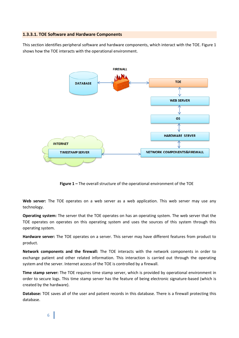#### **1.3.3.1. TOE Software and Hardware Components**

This section identifies peripheral software and hardware components, which interact with the TOE. Figure 1 shows how the TOE interacts with the operational environment.



**Figure 1 –** The overall structure of the operational environment of the TOE

Web server: The TOE operates on a web server as a web application. This web server may use any technology.

**Operating system:** The server that the TOE operates on has an operating system. The web server that the TOE operates on operates on this operating system and uses the sources of this system through this operating system.

**Hardware server:** The TOE operates on a server. This server may have different features from product to product.

**Network components and the firewall:** The TOE interacts with the network components in order to exchange patient and other related information. This interaction is carried out through the operating system and the server. Internet access of the TOE is controlled by a firewall.

**Time stamp server:** The TOE requires time stamp server, which is provided by operational environment in order to secure logs. This time stamp server has the feature of being electronic signature-based (which is created by the hardware).

**Database:** TOE saves all of the user and patient records in this database. There is a firewall protecting this database.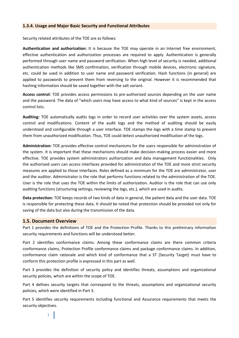#### <span id="page-6-0"></span>**1.3.4. Usage and Major Basic Security and Functional Attributes**

Security related attributes of the TOE are as follows:

**Authentication and authorization:** It is because the TOE may operate in an Internet free environment, effective authentication and authorization processes are required to apply. Authentication is generally performed through user name and password verification. When high level of security is needed, additional authentication methods like SMS confirmation, verification through mobile devices, electronic signature, etc. could be used in addition to user name and password verification. Hash functions (in general) are applied to passwords to prevent them from reversing to the original. However it is recommended that hashing information should be saved together with the salt variant.

**Access control:** TOE provides access permissions to pre-authorized sources depending on the user name and the password. The data of "which users may have access to what kind of sources" is kept in the access control lists.

**Auditing:** TOE automatically audits logs in order to record user activities over the system assets, access control and modifications. Content of the audit logs and the method of auditing should be easily understood and configurable through a user interface. TOE stamps the logs with a time stamp to prevent them from unauthorized modification. Thus, TOE could detect unauthorized modification of the logs.

**Administration:** TOE provides effective control mechanisms for the users responsible for administration of the system. It is important that these mechanisms should make decision-making process easier and more effective. TOE provides system administrators authorization and data management functionalities. Only the authorized users can access interfaces provided for administration of the TOE and more strict security measures are applied to those interfaces. Roles defined as a minimum for the TOE are administrator, user and the auditor. Administrator is the role that performs functions related to the administration of the TOE. User is the role that uses the TOE within the limits of authorization. Auditor is the role that can use only auditing functions (structuring settings, reviewing the logs, etc.), which are used in audits.

**Data protection:** TOE keeps records of two kinds of data in general, the patient data and the user data. TOE is responsible for protecting these data. It should be noted that protection should be provided not only for saving of the data but also during the transmission of the data.

#### <span id="page-6-1"></span>**1.5. Document Overview**

Part 1 provides the definitions of TOE and the Protection Profile. Thanks to this preliminary information security requirements and functions will be understood better.

Part 2 identifies conformance claims. Among these conformance claims are there common criteria conformance claims, Protection Profile conformance claims and package conformance claims. In addition, conformance claim rationale and which kind of conformance that a ST (Security Target) must have to conform this protection profile is expressed in this part as well.

Part 3 provides the definition of security policy and identifies threats, assumptions and organizational security policies, which are within the scope of TOE.

Part 4 defines security targets that correspond to the threats, assumptions and organizational security policies, which were identified in Part 3.

Part 5 identifies security requirements including functional and Assurance requirements that meets the security objectives.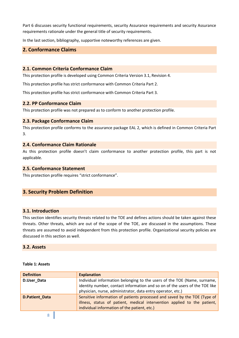Part 6 discusses security functional requirements, security Assurance requirements and security Assurance requirements rationale under the general title of security requirements.

In the last section, bibliography, supportive noteworthy references are given.

#### <span id="page-7-0"></span>**2. Conformance Claims**

#### <span id="page-7-1"></span>**2.1. Common Criteria Conformance Claim**

This protection profile is developed using Common Criteria Version 3.1, Revision 4.

This protection profile has strict conformance with Common Criteria Part 2.

This protection profile has strict conformance with Common Criteria Part 3.

# <span id="page-7-2"></span>**2.2. PP Conformance Claim**

This protection profile was not prepared as to conform to another protection profile.

#### <span id="page-7-3"></span>**2.3. Package Conformance Claim**

This protection profile conforms to the assurance package EAL 2, which is defined in Common Criteria Part 3.

#### <span id="page-7-4"></span>**2.4. Conformance Claim Rationale**

As this protection profile doesn't claim conformance to another protection profile, this part is not applicable.

#### <span id="page-7-5"></span>**2.5. Conformance Statement**

This protection profile requires "strict conformance".

#### <span id="page-7-6"></span>**3. Security Problem Definition**

#### <span id="page-7-7"></span>**3.1. Introduction**

This section identifies security threats related to the TOE and defines actions should be taken against these threats. Other threats, which are out of the scope of the TOE, are discussed in the assumptions. These threats are assumed to avoid independent from this protection profile. Organizational security policies are discussed in this section as well.

#### <span id="page-7-8"></span>**3.2. Assets**

|  | Table 1: Assets |  |
|--|-----------------|--|
|--|-----------------|--|

| <b>Definition</b>     | <b>Explanation</b>                                                                                                                                                                                                     |
|-----------------------|------------------------------------------------------------------------------------------------------------------------------------------------------------------------------------------------------------------------|
| D.User_Data           | Individual information belonging to the users of the TOE (Name, surname,<br>identity number, contact information and so on of the users of the TOE like<br>physician, nurse, administrator, data entry operator, etc.) |
| <b>D.Patient_Data</b> | Sensitive information of patients processed and saved by the TOE (Type of<br>illness, status of patient, medical intervention applied to the patient,<br>individual information of the patient, etc.)                  |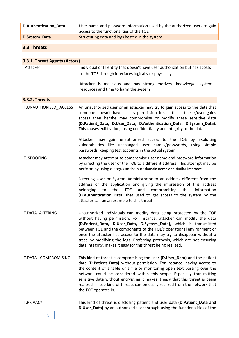| D.Authentication Data | User name and password information used by the authorized users to gain<br>access to the functionalities of the TOE |
|-----------------------|---------------------------------------------------------------------------------------------------------------------|
| D.System_Data         | Structuring data and logs hosted in the system                                                                      |
|                       |                                                                                                                     |

# <span id="page-8-0"></span>**3.3 Threats**

<span id="page-8-2"></span><span id="page-8-1"></span>

| 3.3.1. Threat Agents (Actors) |                                                                                                                                                                                                                                                                                                                                                                                                                                                                                                                       |  |  |  |  |  |  |
|-------------------------------|-----------------------------------------------------------------------------------------------------------------------------------------------------------------------------------------------------------------------------------------------------------------------------------------------------------------------------------------------------------------------------------------------------------------------------------------------------------------------------------------------------------------------|--|--|--|--|--|--|
| Attacker                      | Individual or IT entity that doesn't have user authorization but has access<br>to the TOE through interfaces logically or physically.                                                                                                                                                                                                                                                                                                                                                                                 |  |  |  |  |  |  |
|                               | Attacker is malicious and has strong motives, knowledge, system<br>resources and time to harm the system                                                                                                                                                                                                                                                                                                                                                                                                              |  |  |  |  |  |  |
| <b>3.3.2. Threats</b>         |                                                                                                                                                                                                                                                                                                                                                                                                                                                                                                                       |  |  |  |  |  |  |
| T.UNAUTHORISED ACCESS         | An unauthorized user or an attacker may try to gain access to the data that<br>someone doesn't have access permission for. If this attacker/user gains<br>access then he/she may compromise or modify these sensitive data<br>(D.Patient_Data, D.User_Data, D.Authentication_Data, D.System_Data).<br>This causes exfiltration, losing confidentiality and integrity of the data.                                                                                                                                     |  |  |  |  |  |  |
|                               | Attacker may gain unauthorized access to the TOE by exploiting<br>vulnerabilities like unchanged user names/passwords, using simple<br>passwords, keeping test accounts in the actual system.                                                                                                                                                                                                                                                                                                                         |  |  |  |  |  |  |
| T. SPOOFING                   | Attacker may attempt to compromise user name and password information<br>by directing the user of the TOE to a different address. This attempt may be<br>perform by using a bogus address or domain name or a similar interface.                                                                                                                                                                                                                                                                                      |  |  |  |  |  |  |
|                               | Directing User or System_Administrator to an address different from the<br>address of the application and giving the impression of this address<br>the<br>and<br>compromising the<br>information<br>belonging<br>to<br>TOE<br>(D.Authentication_Data) that used to get access to the system by the<br>attacker can be an example to this threat.                                                                                                                                                                      |  |  |  |  |  |  |
| T.DATA ALTERING               | Unauthorized individuals can modify data being protected by the TOE<br>without having permission. For instance, attacker can modify the data<br>(D.Patient Data, D.User Data, D.System Data), which is transmitted<br>between TOE and the components of the TOE's operational environment or<br>once the attacker has access to the data may try to disappear without a<br>trace by modifying the logs. Preferring protocols, which are not ensuring<br>data integrity, makes it easy for this threat being realized. |  |  |  |  |  |  |
| T.DATA_COMPROMISING           | This kind of threat is compromising the user (D.User_Data) and the patient<br>data (D.Patient_Data) without permission. For instance, having access to<br>the content of a table or a file or monitoring open text passing over the<br>network could be considered within this scope. Especially transmitting<br>sensitive data without encrypting it makes it easy that this threat is being<br>realized. These kind of threats can be easily realized from the network that<br>the TOE operates in.                 |  |  |  |  |  |  |
| <b>T.PRIVACY</b>              | This kind of threat is disclosing patient and user data (D.Patient_Data and<br>D.User_Data) by an authorized user through using the functionalities of the                                                                                                                                                                                                                                                                                                                                                            |  |  |  |  |  |  |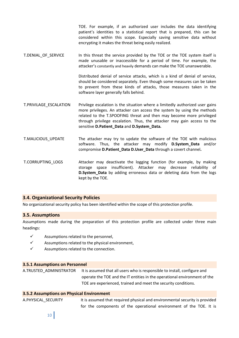TOE. For example, if an authorized user includes the data identifying patient's identities to a statistical report that is prepared, this can be considered within this scope. Especially saving sensitive data without encrypting it makes the threat being easily realized.

T.DENIAL OF SERVICE In this threat the service provided by the TOE or the TOE system itself is made unusable or inaccessible for a period of time. For example, the attacker's constantly and heavily demands can make the TOE unanswerable.

> Distributed denial of service attacks, which is a kind of denial of service, should be considered separately. Even though some measures can be taken to prevent from these kinds of attacks, those measures taken in the software layer generally falls behind.

- T.PRIVILAGE\_ESCALATION Privilege escalation is the situation where a limitedly authorized user gains more privileges. An attacker can access the system by using the methods related to the T.SPOOFING threat and then may become more privileged through privilege escalation. Thus, the attacker may gain access to the sensitive **D.Patient\_Data** and **D.System\_Data.**
- T.MALICIOUS\_UPDATE The attacker may try to update the software of the TOE with malicious software. Thus, the attacker may modify **D.System\_Data** and/or compromise **D.Patient\_Data D.User\_Data** through a covert channel**.**

T.CORRUPTING\_LOGS Attacker may deactivate the logging function (for example, by making storage space insufficient). Attacker may decrease reliability of **D.System\_Data** by adding erroneous data or deleting data from the logs kept by the TOE.

# <span id="page-9-0"></span>**3.4. Organizational Security Policies**

No organizational security policy has been identified within the scope of this protection profile.

#### <span id="page-9-1"></span>**3.5. Assumptions**

Assumptions made during the preparation of this protection profile are collected under three main headings:

- $\checkmark$  Assumptions related to the personnel,
- $\checkmark$  Assumptions related to the physical environment,
- $\checkmark$  Assumptions related to the connection.

#### <span id="page-9-2"></span>**3.5.1 Assumptions on Personnel**

A.TRUSTED\_ADMINISTRATOR It is assumed that all users who is responsible to install, configure and operate the TOE and the IT entities in the operational environment of the TOE are experienced, trained and meet the security conditions.

#### <span id="page-9-3"></span>**3.5.2 Assumptions on Physical Environment**

| A.PHYSICAL SECURITY | It is assumed that required physical and environmental security is provided |
|---------------------|-----------------------------------------------------------------------------|
|                     | for the components of the operational environment of the TOE. It is         |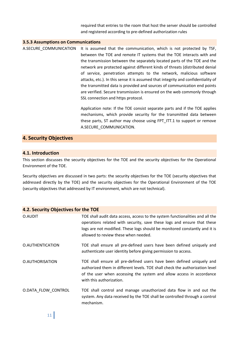required that entries to the room that host the server should be controlled and registered according to pre-defined authorization rules

#### <span id="page-10-0"></span>**3.5.3 Assumptions on Communications**

A.SECURE\_COMMUNICATION It is assumed that the communication, which is not protected by TSF, between the TOE and remote IT systems that the TOE interacts with and the transmission between the separately located parts of the TOE and the network are protected against different kinds of threats (distributed denial of service, penetration attempts to the network, malicious software attacks, etc.). In this sense it is assumed that integrity and confidentiality of the transmitted data is provided and sources of communication end points are verified. Secure transmission is ensured on the web commonly through SSL connection and https protocol.

> Application note: If the TOE consist separate parts and if the TOE applies mechanisms, which provide security for the transmitted data between these parts, ST author may choose using FPT\_ITT.1 to support or remove A.SECURE\_COMMUNICATION.

#### <span id="page-10-1"></span>**4. Security Objectives**

#### <span id="page-10-2"></span>**4.1. Introduction**

This section discusses the security objectives for the TOE and the security objectives for the Operational Environment of the TOE.

Security objectives are discussed in two parts: the security objectives for the TOE (security objectives that addressed directly by the TOE) and the security objectives for the Operational Environment of the TOE (security objectives that addressed by IT environment, which are not technical).

<span id="page-10-3"></span>

| 4.2. Security Objectives for the TOE |                                                                                                                                                                                                                                                                                |  |  |  |  |  |
|--------------------------------------|--------------------------------------------------------------------------------------------------------------------------------------------------------------------------------------------------------------------------------------------------------------------------------|--|--|--|--|--|
| O.AUDIT                              | TOE shall audit data access, access to the system functionalities and all the<br>operations related with security, save these logs and ensure that these<br>logs are not modified. These logs should be monitored constantly and it is<br>allowed to review these when needed. |  |  |  |  |  |
| O.AUTHENTICATION                     | TOE shall ensure all pre-defined users have been defined uniquely and<br>authenticate user identity before giving permission to access.                                                                                                                                        |  |  |  |  |  |
| O.AUTHORISATION                      | TOE shall ensure all pre-defined users have been defined uniquely and<br>authorized them in different levels. TOE shall check the authorization level<br>of the user when accessing the system and allow access in accordance<br>with this authorization.                      |  |  |  |  |  |
| O.DATA_FLOW_CONTROL                  | TOE shall control and manage unauthorized data flow in and out the<br>system. Any data received by the TOE shall be controlled through a control<br>mechanism.                                                                                                                 |  |  |  |  |  |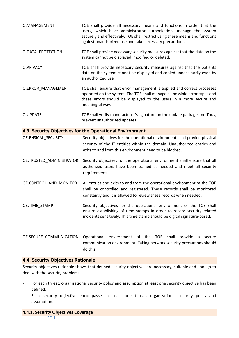<span id="page-11-0"></span>

| O.MANAGEMENT             | TOE shall provide all necessary means and functions in order that the<br>users, which have administrator authorization, manage the system<br>securely and effectively. TOE shall restrict using these means and functions<br>against unauthorized use and take necessary precautions. |  |  |  |  |  |  |
|--------------------------|---------------------------------------------------------------------------------------------------------------------------------------------------------------------------------------------------------------------------------------------------------------------------------------|--|--|--|--|--|--|
| O.DATA_PROTECTION        | TOE shall provide necessary security measures against that the data on the<br>system cannot be displayed, modified or deleted.                                                                                                                                                        |  |  |  |  |  |  |
| O.PRIVACY                | TOE shall provide necessary security measures against that the patients<br>data on the system cannot be displayed and copied unnecessarily even by<br>an authorized user.                                                                                                             |  |  |  |  |  |  |
| O.ERROR_MANAGEMENT       | TOE shall ensure that error management is applied and correct processes<br>operated on the system. The TOE shall manage all possible error types and<br>these errors should be displayed to the users in a more secure and<br>meaningful way.                                         |  |  |  |  |  |  |
| O.UPDATE                 | TOE shall verify manufacturer's signature on the update package and Thus,<br>prevent unauthorized updates.                                                                                                                                                                            |  |  |  |  |  |  |
|                          | 4.3. Security Objectives for the Operational Environment                                                                                                                                                                                                                              |  |  |  |  |  |  |
| OE.PHSICAL_SECURITY      | Security objectives for the operational environment shall provide physical<br>security of the IT entities within the domain. Unauthorized entries and<br>exits to and from this environment need to be blocked.                                                                       |  |  |  |  |  |  |
| OE.TRUSTED_ADMINISTRATOR | Security objectives for the operational environment shall ensure that all<br>authorized users have been trained as needed and meet all security<br>requirements.                                                                                                                      |  |  |  |  |  |  |
| OE.CONTROL AND MONITOR   | All entries and exits to and from the operational environment of the TOE<br>shall be controlled and registered. These records shall be monitored<br>constantly and it is allowed to review these records when needed.                                                                 |  |  |  |  |  |  |
| OE.TIME_STAMP            | Security objectives for the operational environment of the TOE shall<br>ensure establishing of time stamps in order to record security related<br>incidents sensitively. This time stamp should be digital signature-based.                                                           |  |  |  |  |  |  |
| OE.SECURE_COMMUNICATION  | environment of the<br><b>TOE</b><br>Operational<br>shall<br>provide<br>secure<br>a<br>communication environment. Taking network security precautions should<br>do this.                                                                                                               |  |  |  |  |  |  |

# <span id="page-11-1"></span>**4.4. Security Objectives Rationale**

Security objectives rationale shows that defined security objectives are necessary, suitable and enough to deal with the security problems.

- For each threat, organizational security policy and assumption at least one security objective has been defined.
- Each security objective encompasses at least one threat, organizational security policy and assumption.

# <span id="page-11-2"></span>12 **4.4.1. Security Objectives Coverage**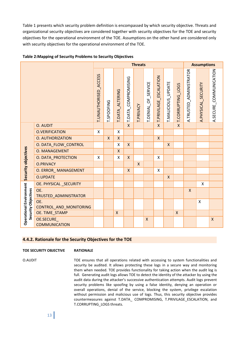Table 1 presents which security problem definition is encompassed by which security objective. Threats and organizational security objectives are considered together with security objectives for the TOE and security objectives for the operational environment of the TOE. Assumptions on the other hand are considered only with security objectives for the operational environment of the TOE.

|                                                       |                                    | <b>Threats</b>        |            |                    |                     |              | <b>Assumptions</b>  |                           |                    |                           |                          |                     |                        |
|-------------------------------------------------------|------------------------------------|-----------------------|------------|--------------------|---------------------|--------------|---------------------|---------------------------|--------------------|---------------------------|--------------------------|---------------------|------------------------|
|                                                       |                                    | T.UNAUTHORISED ACCESS | T.SPOOFING | T.DATA_ALTERING    | T.DATA_COMPROMISING | T.PRIVACY    | T.DENIAL_OF_SERVICE | T.PRIVILAGE_ESCALATION    | T.MALICIOUS_UPDATE | T.CORRUPTING_LOGS         | A. TRUSTED_ADMINISTRATOR | A.PHYSICAL_SECURITY | A.SECURE_COMMUNICATION |
|                                                       | O. AUDIT                           |                       |            |                    | $\overline{X}$      |              |                     | $\mathsf{X}$              |                    | $\mathsf{X}$              |                          |                     |                        |
|                                                       | <b>O.VERIFICATION</b>              | $\pmb{\mathsf{X}}$    |            | X                  |                     |              |                     |                           |                    |                           |                          |                     |                        |
|                                                       | <b>O. AUTHORIZATION</b>            |                       | X          | $\mathsf{X}$       |                     |              |                     | $\mathsf{X}$              |                    |                           |                          |                     |                        |
|                                                       | O. DATA_FLOW_CONTROL               |                       |            | $\pmb{\mathsf{X}}$ | $\mathsf{X}$        |              |                     |                           | $\pmb{\mathsf{X}}$ |                           |                          |                     |                        |
|                                                       | <b>O. MANAGEMENT</b>               |                       |            | $\mathsf{X}$       |                     |              |                     |                           |                    |                           |                          |                     |                        |
|                                                       | O. DATA_PROTECTION                 | X                     |            | X                  | $\mathsf{X}$        |              |                     | X                         |                    |                           |                          |                     |                        |
|                                                       | <b>O.PRIVACY</b>                   |                       |            |                    |                     | $\mathsf{X}$ |                     |                           |                    |                           |                          |                     |                        |
|                                                       | O. ERROR_MANAGEMENT                |                       |            |                    | $\mathsf{X}$        |              |                     | $\boldsymbol{\mathsf{X}}$ |                    |                           |                          |                     |                        |
| Security objectives                                   | <b>O.UPDATE</b>                    |                       |            |                    |                     |              |                     |                           | $\pmb{\mathsf{X}}$ |                           |                          |                     |                        |
|                                                       | OE. PHYSICAL _SECURITY             |                       |            |                    |                     |              |                     |                           |                    |                           |                          | X                   |                        |
| <b>Operational Environment</b><br>Security Objectives | OE.<br>TRUSTED_ADMINISTRATOR       |                       |            |                    |                     |              |                     |                           |                    |                           | $\mathsf{X}$             |                     |                        |
|                                                       | OE.<br>CONTROL_AND_MONITORING      |                       |            |                    |                     |              |                     |                           |                    |                           |                          | $\pmb{\mathsf{X}}$  |                        |
|                                                       | OE. TIME_STAMP                     |                       |            | $\pmb{\mathsf{X}}$ |                     |              |                     |                           |                    | $\boldsymbol{\mathsf{X}}$ |                          |                     |                        |
|                                                       | OE.SECURE_<br><b>COMMUNICATION</b> |                       |            |                    |                     |              | $\mathsf{X}$        |                           |                    |                           |                          |                     | $\mathsf{X}$           |

#### **Table 2:Mapping of Security Problems to Security Objectives**

#### <span id="page-12-0"></span>**4.4.2. Rationale for the Security Objectives for the TOE**

#### **TOE SECURITY OBJECTIVE RATIONALE**

O.AUDIT TOE ensures that all operations related with accessing to system functionalities and security be audited. It allows protecting these logs in a secure way and monitoring them when needed. TOE provides functionality for taking action when the audit log is full. Generating audit logs allows TOE to detect the identity of the attacker by using the audit data during the attacker's successive authentication attempts. Audit logs prevent security problems like spoofing by using a false identity, denying an operation or overall operations, denial of the service, blocking the system, privilege escalation without permission and malicious use of logs. Thus, this security objective provides countermeasures against T.DATA\_ COMPROMISING, T.PRIVILAGE\_ESCALATION, and T.CORRUPTING\_LOGS threats.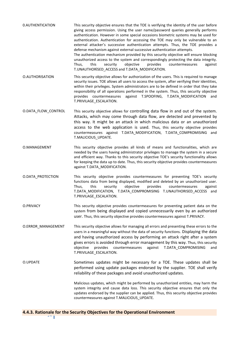| 0.AUTHENTICATION | This security objective ensures that the TOE is verifying the identity of the user before |  |  |  |  |  |  |  |  |
|------------------|-------------------------------------------------------------------------------------------|--|--|--|--|--|--|--|--|
|                  | giving access permission. Using the user name/password queries generally performs         |  |  |  |  |  |  |  |  |
|                  | authentication. However in some special occasions biometric systems may be used for       |  |  |  |  |  |  |  |  |
|                  | authentication. Authentication for accessing the TOE may only be vulnerable to an         |  |  |  |  |  |  |  |  |
|                  | external attacker's successive authentication attempts. Thus, the TOE provides a          |  |  |  |  |  |  |  |  |
|                  | defense mechanism against external successive authentication attempts.                    |  |  |  |  |  |  |  |  |
|                  | The authentication mechanism provided by this security objective will ensure blocking     |  |  |  |  |  |  |  |  |
|                  | unauthorized access to the system and correspondingly protecting the data integrity.      |  |  |  |  |  |  |  |  |
|                  | provides countermeasures<br>obiective<br>against<br>this<br>security<br>Thus.             |  |  |  |  |  |  |  |  |
|                  | T.UNAUTHORISED ACCESS and T.DATA MODIFICATION.                                            |  |  |  |  |  |  |  |  |

- O.AUTHORISATION This security objective allows for authorization of the users. This is required to manage security issues. TOE allows all users to access the system, after verifying their identities, within their privileges. System administrators are to be defined in order that they take responsibility of all operations performed in the system. Thus, this security objective provides countermeasures against T.SPOOFING, T.DATA\_MODIFICATION and T.PRIVILAGE\_ESCALATION.
- O.DATA\_FLOW\_CONTROL This security objective allows for controlling data flow in and out of the system. Attacks, which may come through data flow, are detected and prevented by this way. It might be an attack in which malicious data or an unauthorized access to the web application is used. Thus, this security objective provides countermeasures against T.DATA\_MODIFICATION, T.DATA\_COMPROMISING and T.MALICIOUS\_UPDATE.
- O.MANAGEMENT This security objective provides all kinds of means and functionalities, which are needed by the users having administrator privileges to manage the system in a secure and efficient way. Thanks to this security objective TOE's security functionality allows for keeping the data up to date. Thus, this security objective provides countermeasures against T.DATA\_MODIFICATION.
- O.DATA\_PROTECTION This security objective provides countermeasures for preventing TOE's security functions data from being displayed, modified and deleted by an unauthorized user. Thus, this security objective provides countermeasures against T.DATA\_MODIFICATION, T.DATA\_COMPROMISING T.UNAUTHORISED\_ACCESS and T.PRIVILAGE\_ESCALATION.
- O.PRIVACY This security objective provides countermeasures for preventing patient data on the system from being displayed and copied unnecessarily even by an authorized user. Thus, this security objective provides countermeasures against T.PRIVACY.
- O.ERROR MANAGEMENT This security objective allows for managing all errors and presenting these errors to the users in a meaningful way without the data of security functions. Displaying the data and having unauthorized access by performing an attack right after a system gives errors is avoided through error management by this way. Thus, this security objective provides countermeasures against T.DATA\_COMPROMISING and T.PRIVILAGE\_ESCALATION.

<span id="page-13-0"></span>O.UPDATE Sometimes updates might be necessary for a TOE. These updates shall be performed using update packages endorsed by the supplier. TOE shall verify reliability of these packages and avoid unauthorized updates.

> Malicious updates, which might be performed by unauthorized entities, may harm the system integrity and cause data loss. This security objective ensures that only the updates endorsed by the supplier can be applied. Thus, this security objective provides countermeasures against T.MALICIOUS\_UPDATE.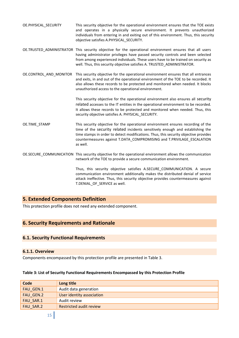OE.PHYSICAL\_SECURITY This security objective for the operational environment ensures that the TOE exists and operates in a physically secure environment. It prevents unauthorized individuals from entering in and exiting out of this environment. Thus, this security objective satisfies A.PHYSICAL\_SECURITY.

OE.TRUSTED\_ADMINISTRATOR This security objective for the operational environment ensures that all users having administrator privileges have passed security controls and been selected from among experienced individuals. These users have to be trained on security as well. Thus, this security objective satisfies A. TRUSTED\_ADMINISTRATOR.

OE.CONTROL\_AND\_MONITOR This security objective for the operational environment ensures that all entrances and exits, in and out of the operational environment of the TOE to be recorded. It also allows these records to be protected and monitored when needed. It blocks unauthorized access to the operational environment.

> This security objective for the operational environment also ensures all security related accesses to the IT entities in the operational environment to be recorded. It allows these records to be protected and monitored when needed. Thus, this security objective satisfies A. PHYSICAL\_SECURITY.

- OE.TIME\_STAMP This security objective for the operational environment ensures recording of the time of the security related incidents sensitively enough and establishing the time stamps in order to detect modifications. Thus, this security objective provides countermeasures against T.DATA\_COMPROMISING and T.PRIVILAGE\_ESCALATION as well.
- OE.SECURE\_COMMUNICATION This security objective for the operational environment allows the communication network of the TOE to provide a secure communication environment.

Thus, this security objective satisfies A.SECURE\_COMMUNICATION. A secure communication environment additionally makes the distributed denial of service attack ineffective. Thus, this security objective provides countermeasures against T.DENIAL\_OF\_SERVICE as well.

# <span id="page-14-0"></span>**5. Extended Components Definition**

This protection profile does not need any extended component.

# <span id="page-14-1"></span>**6. Security Requirements and Rationale**

#### <span id="page-14-2"></span>**6.1. Security Functional Requirements**

#### <span id="page-14-3"></span>**6.1.1. Overview**

Components encompassed by this protection profile are presented in Table 3.

#### **Table 3: List of Security Functional Requirements Encompassed by this Protection Profile**

| Code      | Long title                     |
|-----------|--------------------------------|
| FAU GEN.1 | Audit data generation          |
| FAU GEN.2 | User identity association      |
| FAU SAR.1 | Audit review                   |
| FAU SAR.2 | <b>Restricted audit review</b> |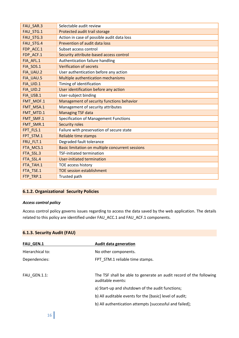| FAU SAR.3 | Selectable audit review                          |
|-----------|--------------------------------------------------|
| FAU STG.1 | Protected audit trail storage                    |
| FAU_STG.3 | Action in case of possible audit data loss       |
| FAU STG.4 | Prevention of audit data loss                    |
| FDP ACC.1 | Subset access control                            |
| FDP ACF.1 | Security attribute-based access control          |
| FIA AFL.1 | Authentication failure handling                  |
| FIA_SOS.1 | <b>Verification of secrets</b>                   |
| FIA UAU.2 | User authentication before any action            |
| FIA UAU.5 | Multiple authentication mechanisms               |
| FIA_UID.1 | Timing of identification                         |
| FIA UID.2 | User identification before any action            |
| FIA USB.1 | User-subject binding                             |
| FMT MOF.1 | Management of security functions behavior        |
| FMT_MSA.1 | Management of security attributes                |
| FMT MTD.1 | <b>Managing TSF data</b>                         |
| FMT SMF.1 | Specification of Management Functions            |
| FMT_SMR.1 | <b>Security roles</b>                            |
| FPT FLS.1 | Failure with preservation of secure state        |
| FPT STM.1 | <b>Reliable time stamps</b>                      |
| FRU FLT.1 | Degraded fault tolerance                         |
| FTA MCS.1 | Basic limitation on multiple concurrent sessions |
| FTA SSL.3 | <b>TSF-initiated termination</b>                 |
| FTA SSL.4 | User-initiated termination                       |
| FTA TAH.1 | TOE access history                               |
| FTA TSE.1 | <b>TOE session establishment</b>                 |
| FTP TRP.1 | Trusted path                                     |

# <span id="page-15-0"></span>**6.1.2. Organizational Security Policies**

# *Access control policy*

Access control policy governs issues regarding to access the data saved by the web application. The details related to this policy are identified under FAU\_ACC.1 and FAU\_ACF.1 components.

# <span id="page-15-1"></span>**6.1.3. Security Audit (FAU)**

| <b>FAU GEN.1</b>    | <b>Audit data generation</b>                                                            |
|---------------------|-----------------------------------------------------------------------------------------|
| Hierarchical to:    | No other components.                                                                    |
| Dependencies:       | FPT STM.1 reliable time stamps.                                                         |
| <b>FAU GEN.1.1:</b> | The TSF shall be able to generate an audit record of the following<br>auditable events: |
|                     | a) Start-up and shutdown of the audit functions;                                        |
|                     | b) All auditable events for the [basic] level of audit;                                 |
|                     | b) All authentication attempts [successful and failed];                                 |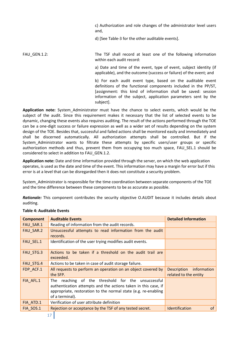c) Authorization and role changes of the administrator level users and,

d) [See Table-3 for the other auditable events].

FAU GEN.1.2: The TSF shall record at least one of the following information within each audit record:

> a) Date and time of the event, type of event, subject identity (if applicable), and the outcome (success or failure) of the event; and

> b) For each audit event type, based on the auditable event definitions of the functional components included in the PP/ST, [assignment: this kind of information shall be saved: session information of the subject, application parameters sent by the subject].

**Application note:** System\_Administrator must have the chance to select events, which would be the subject of the audit. Since this requirement makes it necessary that the list of selected events to be dynamic, changing these events also requires auditing. The result of the actions performed through the TOE can be a one-digit success or failure expression as well as a wider set of results depending on the system design of the TOE. Besides that, successful and failed actions shall be monitored easily and immediately and shall be discerned automatically. All authorization attempts shall be controlled. But if the System Administrator wants to filtrate these attempts by specific users/user groups or specific authorization methods and thus, prevent them from occupying too much space, FAU\_SEL.1 should be considered to select in addition to FAU\_GEN.1.2.

**Application note:** Date and time information provided through the server, on which the web application operates, is used as the date and time of the event. This information may have a margin for error but if this error is at a level that can be disregarded then it does not constitute a security problem.

System\_Administrator is responsible for the time coordination between separate components of the TOE and the time difference between these components to be as accurate as possible.

*Rationale:* This component contributes the security objective O.AUDIT because it includes details about auditing.

| <b>Component</b> | <b>Auditable Events</b>                                                                                                                                                                                      | <b>Detailed Information</b>                                |
|------------------|--------------------------------------------------------------------------------------------------------------------------------------------------------------------------------------------------------------|------------------------------------------------------------|
| FAU SAR.1        | Reading of information from the audit records.                                                                                                                                                               |                                                            |
| FAU SAR.2        | Unsuccessful attempts to read information from the audit<br>records.                                                                                                                                         |                                                            |
| FAU_SEL.1        | Identification of the user trying modifies audit events.                                                                                                                                                     |                                                            |
| FAU_STG.3        | Actions to be taken if a threshold on the audit trail are<br>exceeded.                                                                                                                                       |                                                            |
| FAU STG.4        | Actions to be taken in case of audit storage failure.                                                                                                                                                        |                                                            |
| FDP ACF.1        | All requests to perform an operation on an object covered by<br>the SFP.                                                                                                                                     | <b>Description</b><br>information<br>related to the entity |
| FIA AFL.1        | reaching of the threshold for the unsuccessful<br>The<br>authentication attempts and the actions taken in this case, if<br>appropriate, restoration to the normal state (e.g. re-enabling<br>of a terminal). |                                                            |
| FIA ATD.1        | Verification of user attribute definition                                                                                                                                                                    |                                                            |
| FIA SOS.1        | Rejection or acceptance by the TSF of any tested secret.                                                                                                                                                     | Identification<br>0f                                       |

#### **Table 4: Auditable Events**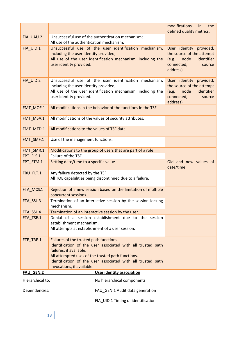|                  |                                                                                                                                                                                                                                                                                     | modifications<br>the<br>in<br>defined quality metrics.                                                                  |
|------------------|-------------------------------------------------------------------------------------------------------------------------------------------------------------------------------------------------------------------------------------------------------------------------------------|-------------------------------------------------------------------------------------------------------------------------|
| FIA UAU.2        | Unsuccessful use of the authentication mechanism;<br>All use of the authentication mechanism.                                                                                                                                                                                       |                                                                                                                         |
| FIA_UID.1        | Unsuccessful use of the user identification mechanism,<br>including the user identity provided;<br>All use of the user identification mechanism, including the<br>user identity provided.                                                                                           | User identity provided,<br>the source of the attempt<br>node<br>identifier<br>(e.g.<br>connected,<br>source<br>address) |
| FIA_UID.2        | Unsuccessful use of the user identification mechanism,<br>including the user identity provided;<br>All use of the user identification mechanism, including the<br>user identity provided.                                                                                           | User identity provided,<br>the source of the attempt<br>node<br>identifier<br>(e.g.<br>connected,<br>source<br>address) |
| FMT_MOF.1        | All modifications in the behavior of the functions in the TSF.                                                                                                                                                                                                                      |                                                                                                                         |
| FMT MSA.1        | All modifications of the values of security attributes.                                                                                                                                                                                                                             |                                                                                                                         |
| FMT MTD.1        | All modifications to the values of TSF data.                                                                                                                                                                                                                                        |                                                                                                                         |
| FMT_SMF.1        | Use of the management functions.                                                                                                                                                                                                                                                    |                                                                                                                         |
| FMT_SMR.1        | Modifications to the group of users that are part of a role.                                                                                                                                                                                                                        |                                                                                                                         |
| FPT FLS.1        | Failure of the TSF.                                                                                                                                                                                                                                                                 |                                                                                                                         |
| FPT_STM.1        | Setting date/time to a specific value                                                                                                                                                                                                                                               | Old and new values of<br>date/time                                                                                      |
| FRU_FLT.1        | Any failure detected by the TSF.<br>All TOE capabilities being discontinued due to a failure.                                                                                                                                                                                       |                                                                                                                         |
| FTA MCS.1        | Rejection of a new session based on the limitation of multiple<br>concurrent sessions.                                                                                                                                                                                              |                                                                                                                         |
| FTA_SSL.3        | Termination of an interactive session by the session locking<br>mechanism.                                                                                                                                                                                                          |                                                                                                                         |
| FTA_SSL.4        | Termination of an interactive session by the user.                                                                                                                                                                                                                                  |                                                                                                                         |
| FTA_TSE.1        | Denial of a session establishment due to the session<br>establishment mechanism.<br>All attempts at establishment of a user session.                                                                                                                                                |                                                                                                                         |
| FTP_TRP.1        | Failures of the trusted path functions.<br>Identification of the user associated with all trusted path<br>failures, if available.<br>All attempted uses of the trusted path functions.<br>Identification of the user associated with all trusted path<br>invocations, if available. |                                                                                                                         |
| FAU_GEN.2        | <b>User identity association</b>                                                                                                                                                                                                                                                    |                                                                                                                         |
| Hierarchical to: | No hierarchical components                                                                                                                                                                                                                                                          |                                                                                                                         |
| Dependencies:    | FAU_GEN.1 Audit data generation                                                                                                                                                                                                                                                     |                                                                                                                         |
|                  | FIA_UID.1 Timing of identification                                                                                                                                                                                                                                                  |                                                                                                                         |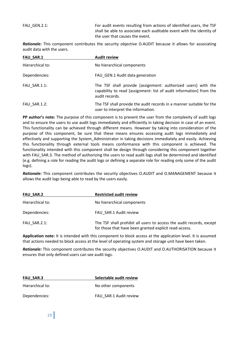FAU GEN.2.1: For audit events resulting from actions of identified users, the TSF shall be able to associate each auditable event with the identity of the user that causes the event.

*Rationale:* This component contributes the security objective O.AUDIT because it allows for associating audit data with the users.

| <b>FAU SAR.1</b> | <b>Audit review</b>                                                                                                                                    |
|------------------|--------------------------------------------------------------------------------------------------------------------------------------------------------|
| Hierarchical to: | No hierarchical components                                                                                                                             |
| Dependencies:    | FAU GEN.1 Audit data generation                                                                                                                        |
| FAU SAR.1.1:     | The TSF shall provide [assignment: authorized users] with the<br>capability to read [assignment: list of audit information] from the<br>audit records. |
| FAU SAR.1.2:     | The TSF shall provide the audit records in a manner suitable for the<br>user to interpret the information.                                             |

**PP author's note:** The purpose of this component is to prevent the user from the complexity of audit logs and to ensure the users to use audit logs immediately and efficiently in taking decision in case of an event. This functionality can be achieved through different means. However by taking into consideration of the purpose of this component, be sure that these means ensures accessing audit logs immediately and effectively and supporting the System\_Administrator in taking decisions immediately and easily. Achieving this functionality through external tools means conformance with this component is achieved. The functionality intended with this component shall be design through considering this component together with FAU\_SAR.3. The method of authorizing the users to read audit logs shall be determined and identified (e.g. defining a role for reading the audit logs or defining a separate role for reading only some of the audit logs).

*Rationale:* This component contributes the security objectives O.AUDIT and O.MANAGEMENT because it allows the audit logs being able to read by the users easily.

| <b>FAU SAR.2</b> | <b>Restricted audit review</b>                                                                                                 |
|------------------|--------------------------------------------------------------------------------------------------------------------------------|
| Hierarchical to: | No hierarchical components                                                                                                     |
| Dependencies:    | FAU SAR.1 Audit review                                                                                                         |
| FAU SAR.2.1:     | The TSF shall prohibit all users to access the audit records, except<br>for those that have been granted explicit read-access. |

**Application note:** It is intended with this component to block access at the application level. It is assumed that actions needed to block access at the level of operating system and storage unit have been taken.

*Rationale:* This component contributes the security objectives O.AUDIT and O.AUTHORISATION because it ensures that only defined users can see audit logs.

| <b>FAU SAR.3</b> | Selectable audit review |
|------------------|-------------------------|
| Hierarchical to: | No other components     |
| Dependencies:    | FAU SAR.1 Audit review  |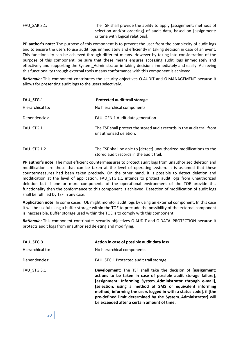FAU SAR.3.1: The TSF shall provide the ability to apply [assignment: methods of selection and/or ordering] of audit data, based on [assignment: criteria with logical relations].

**PP author's note:** The purpose of this component is to prevent the user from the complexity of audit logs and to ensure the users to use audit logs immediately and efficiently in taking decision in case of an event. This functionality can be achieved through different means. However by taking into consideration of the purpose of this component, be sure that these means ensures accessing audit logs immediately and effectively and supporting the System\_Administrator in taking decisions immediately and easily. Achieving this functionality through external tools means conformance with this component is achieved.

*Rationale:* This component contributes the security objectives O.AUDIT and O.MANAGEMENT because it allows for presenting audit logs to the users selectively.

| <b>FAU STG.1</b> | Protected audit trail storage                                                                    |
|------------------|--------------------------------------------------------------------------------------------------|
| Hierarchical to: | No hierarchical components                                                                       |
| Dependencies:    | FAU GEN.1 Audit data generation                                                                  |
| FAU STG.1.1      | The TSF shall protect the stored audit records in the audit trail from<br>unauthorized deletion. |
| FAU STG.1.2      | The TSF shall be able to [detect] unauthorized modifications to the                              |

**PP author's note:** The most efficient countermeasures to protect audit logs from unauthorized deletion and modification are those that can be taken at the level of operating system. It is assumed that these countermeasures had been taken precisely. On the other hand, it is possible to detect deletion and modification at the level of application. FAU STG.1.1 intends to protect audit logs from unauthorized deletion but if one or more components of the operational environment of the TOE provide this functionality then the conformance to this component is achieved. Detection of modification of audit logs shall be fulfilled by TSF in any case.

stored audit records in the audit trail.

**Application note:** In some cases TOE might monitor audit logs by using an external component. In this case it will be useful using a buffer storage within the TOE to preclude the possibility of the external component is inaccessible. Buffer storage used within the TOE is to comply with this component.

*Rationale:* This component contributes security objectives O.AUDIT and O.DATA\_PROTECTION because it protects audit logs from unauthorized deleting and modifying.

| <b>FAU STG.3</b> | Action in case of possible audit data loss                                                                                                                                                                                                                                                                                                                                                                                                          |
|------------------|-----------------------------------------------------------------------------------------------------------------------------------------------------------------------------------------------------------------------------------------------------------------------------------------------------------------------------------------------------------------------------------------------------------------------------------------------------|
| Hierarchical to: | No hierarchical components                                                                                                                                                                                                                                                                                                                                                                                                                          |
| Dependencies:    | FAU STG.1 Protected audit trail storage                                                                                                                                                                                                                                                                                                                                                                                                             |
| FAU STG.3.1      | Development: The TSF shall take the decision of [assignment:<br>actions to be taken in case of possible audit storage failure],<br>[assignment: Informing System_Administrator through e-mail],<br>[selection: using a method of SMS or equivalent informing<br>method, informing the users logged in with a status code], if [the<br>pre-defined limit determined by the System_Administrator] will<br>be exceeded after a certain amount of time. |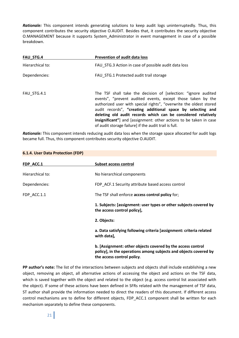*Rationale:* This component intends generating solutions to keep audit logs uninterruptedly. Thus, this component contributes the security objective O.AUDIT. Besides that, it contributes the security objective O.MANAGEMENT because it supports System\_Administrator in event management in case of a possible breakdown.

| FAU_STG.4        | <b>Prevention of audit data loss</b>                                                                                                                                                                                                                                                                                                                                                                                                                                       |
|------------------|----------------------------------------------------------------------------------------------------------------------------------------------------------------------------------------------------------------------------------------------------------------------------------------------------------------------------------------------------------------------------------------------------------------------------------------------------------------------------|
| Hierarchical to: | FAU STG.3 Action in case of possible audit data loss                                                                                                                                                                                                                                                                                                                                                                                                                       |
| Dependencies:    | FAU STG.1 Protected audit trail storage                                                                                                                                                                                                                                                                                                                                                                                                                                    |
| FAU_STG.4.1      | The TSF shall take the decision of [selection: "ignore audited<br>events", "prevent audited events, except those taken by the<br>authorized user with special rights", "overwrite the oldest stored<br>audit records", "creating additional space by selecting and<br>deleting old audit records which can be considered relatively<br><b>insignificant"</b> ] and [assignment: other actions to be taken in case<br>of audit storage failure] if the audit trail is full. |

*Rationale:* This component intends reducing audit data loss when the storage space allocated for audit logs became full. Thus, this component contributes security objective O.AUDIT.

| 0.1.1.000.000.000.000.00.000 |                                                                                                                                                               |
|------------------------------|---------------------------------------------------------------------------------------------------------------------------------------------------------------|
| FDP_ACC.1                    | <b>Subset access control</b>                                                                                                                                  |
| Hierarchical to:             | No hierarchical components                                                                                                                                    |
| Dependencies:                | FDP ACF.1 Security attribute based access control                                                                                                             |
| FDP_ACC.1.1                  | The TSF shall enforce access control policy for;                                                                                                              |
|                              | 1. Subjects: [assignment: user types or other subjects covered by<br>the access control policy],                                                              |
|                              | 2. Objects:                                                                                                                                                   |
|                              | a. Data satisfying following criteria [assignment: criteria related<br>with data],                                                                            |
|                              | b. [Assignment: other objects covered by the access control<br>policy], in the operations among subjects and objects covered by<br>the access control policy. |

**PP author's note:** The list of the interactions between subjects and objects shall include establishing a new object, removing an object, all alternative actions of accessing the object and actions on the TSF data, which is saved together with the object and related to the object (e.g. access control list associated with the object). If some of these actions have been defined in SFRs related with the management of TSF data, ST author shall provide the information needed to direct the readers of this document. If different access control mechanisms are to define for different objects, FDP\_ACC.1 component shall be written for each mechanism separately to define these components.

<span id="page-20-0"></span>**6.1.4. User Data Protection (FDP)**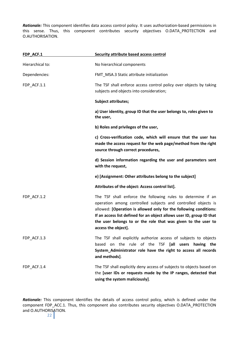*Rationale:* This component identifies data access control policy. It uses authorization-based permissions in this sense. Thus, this component contributes security objectives O.DATA\_PROTECTION and O.AUTHORISATION.

| FDP_ACF.1        | Security attribute based access control                                                                                                                                                                                                                                                                                                                             |
|------------------|---------------------------------------------------------------------------------------------------------------------------------------------------------------------------------------------------------------------------------------------------------------------------------------------------------------------------------------------------------------------|
| Hierarchical to: | No hierarchical components                                                                                                                                                                                                                                                                                                                                          |
| Dependencies:    | FMT_MSA.3 Static attribute initialization                                                                                                                                                                                                                                                                                                                           |
| FDP_ACF.1.1      | The TSF shall enforce access control policy over objects by taking<br>subjects and objects into consideration;                                                                                                                                                                                                                                                      |
|                  | Subject attributes;                                                                                                                                                                                                                                                                                                                                                 |
|                  | a) User identity, group ID that the user belongs to, roles given to<br>the user,                                                                                                                                                                                                                                                                                    |
|                  | b) Roles and privileges of the user,                                                                                                                                                                                                                                                                                                                                |
|                  | c) Cross-verification code, which will ensure that the user has<br>made the access request for the web page/method from the right<br>source through correct procedures,                                                                                                                                                                                             |
|                  | d) Session information regarding the user and parameters sent<br>with the request,                                                                                                                                                                                                                                                                                  |
|                  | e) [Assignment: Other attributes belong to the subject]                                                                                                                                                                                                                                                                                                             |
|                  | Attributes of the object: Access control list].                                                                                                                                                                                                                                                                                                                     |
| FDP_ACF.1.2      | The TSF shall enforce the following rules to determine if an<br>operation among controlled subjects and controlled objects is<br>allowed: [Operation is allowed only for the following conditions:<br>If an access list defined for an object allows user ID, group ID that<br>the user belongs to or the role that was given to the user to<br>access the object]. |
| FDP_ACF.1.3      | The TSF shall explicitly authorize access of subjects to objects<br>based on the rule of the TSF [all users having the<br>System_Administrator role have the right to access all records<br>and methods].                                                                                                                                                           |
| FDP_ACF.1.4      | The TSF shall explicitly deny access of subjects to objects based on<br>the [user IDs or requests made by the IP ranges, detected that<br>using the system maliciously].                                                                                                                                                                                            |

*Rationale:* This component identifies the details of access control policy, which is defined under the component FDP\_ACC.1. Thus, this component also contributes security objectives O.DATA\_PROTECTION and O.AUTHORISATION.

22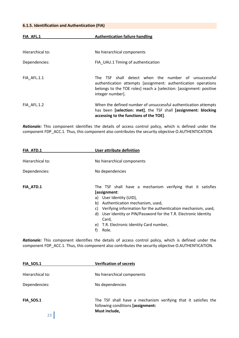#### <span id="page-22-0"></span>**6.1.5. Identification and Authentication (FIA)**

| FIA AFL.1        | <b>Authentication failure handling</b>                                                                                                                                                                            |
|------------------|-------------------------------------------------------------------------------------------------------------------------------------------------------------------------------------------------------------------|
|                  |                                                                                                                                                                                                                   |
| Hierarchical to: | No hierarchical components                                                                                                                                                                                        |
| Dependencies:    | FIA UAU.1 Timing of authentication                                                                                                                                                                                |
| FIA AFL.1.1      | The TSF shall detect when the number of unsuccessful<br>authentication attempts [assignment: authentication operations<br>belongs to the TOE roles] reach a [selection: [assignment: positive<br>integer number]. |
| FIA AFL.1.2      | When the defined number of unsuccessful authentication attempts<br>has been [selection: met], the TSF shall [assignment: blocking<br>accessing to the functions of the TOE].                                      |

*Rationale:* This component identifies the details of access control policy, which is defined under the component FDP\_ACC.1. Thus, this component also contributes the security objective O.AUTHENTICATION.

| User attribute definition                                                                                                                                                                                                                                                                                 |
|-----------------------------------------------------------------------------------------------------------------------------------------------------------------------------------------------------------------------------------------------------------------------------------------------------------|
| No hierarchical components                                                                                                                                                                                                                                                                                |
| No dependencies                                                                                                                                                                                                                                                                                           |
| The TSF shall have a mechanism verifying that it satisfies<br>[assignment:<br>User Identity (UID),<br>a)<br>b)<br>Authentication mechanism, used,<br>Verifying information for the authentication mechanism, used,<br>C)<br>User identity or PIN/Password for the T.R. Electronic Identity<br>d)<br>Card, |
| T.R. Electronic Identity Card number,<br>e)<br>f)<br>Role.                                                                                                                                                                                                                                                |
|                                                                                                                                                                                                                                                                                                           |

*Rationale:* This component identifies the details of access control policy, which is defined under the component FDP\_ACC.1. Thus, this component also contributes the security objective O.AUTHENTICATION.

| FIA SOS.1              | <b>Verification of secrets</b>                                                                                       |
|------------------------|----------------------------------------------------------------------------------------------------------------------|
| Hierarchical to:       | No hierarchical components                                                                                           |
| Dependencies:          | No dependencies                                                                                                      |
| <b>FIA_SOS.1</b><br>23 | The TSF shall have a mechanism verifying that it satisfies the<br>following conditions [assignment:<br>Must include, |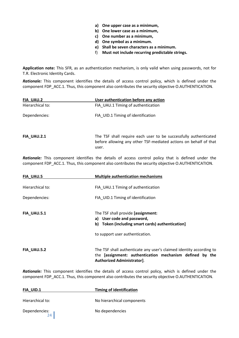- **a) One upper case as a minimum,**
- **b) One lower case as a minimum,**
- **c) One number as a minimum,**
- **d) One symbol as a minimum.**
- **e) Shall be seven characters as a minimum.**
- f) **Must not include recurring predictable strings.**

**Application note:** This SFR, as an authentication mechanism, is only valid when using passwords, not for T.R. Electronic Identity Cards.

*Rationale:* This component identifies the details of access control policy, which is defined under the component FDP\_ACC.1. Thus, this component also contributes the security objective O.AUTHENTICATION.

| FIA_UAU.2          | User authentication before any action                                                                                                         |
|--------------------|-----------------------------------------------------------------------------------------------------------------------------------------------|
| Hierarchical to:   | FIA UAU.1 Timing of authentication                                                                                                            |
| Dependencies:      | FIA UID.1 Timing of identification                                                                                                            |
| <b>FIA_UAU.2.1</b> | The TSF shall require each user to be successfully authenticated<br>before allowing any other TSF-mediated actions on behalf of that<br>user. |

*Rationale:* This component identifies the details of access control policy that is defined under the component FDP\_ACC.1. Thus, this component also contributes the security objective O.AUTHENTICATION.

| FIA UAU.5          | <b>Multiple authentication mechanisms</b>                                                                                                                            |
|--------------------|----------------------------------------------------------------------------------------------------------------------------------------------------------------------|
| Hierarchical to:   | FIA UAU.1 Timing of authentication                                                                                                                                   |
| Dependencies:      | FIA UID.1 Timing of identification                                                                                                                                   |
| <b>FIA_UAU.5.1</b> | The TSF shall provide [assignment:<br>User code and password,<br>a)<br>b)<br>Token (including smart cards) authentication]<br>to support user authentication.        |
| <b>FIA_UAU.5.2</b> | The TSF shall authenticate any user's claimed identity according to<br>the [assignment: authentication mechanism defined by the<br><b>Authorized Administrator].</b> |

*Rationale:* This component identifies the details of access control policy, which is defined under the component FDP\_ACC.1. Thus, this component also contributes the security objective O.AUTHENTICATION.

| FIA UID.1                    | <b>Timing of identification</b> |
|------------------------------|---------------------------------|
| Hierarchical to:             | No hierarchical components      |
| Dependencies: $\frac{1}{24}$ | No dependencies                 |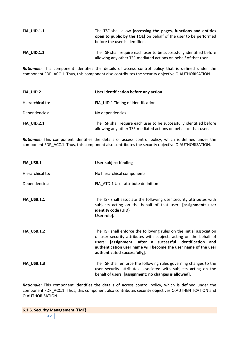| <b>FIA UID.1.1</b> | The TSF shall allow [accessing the pages, functions and entities<br><b>open to public by the TOE</b> on behalf of the user to be performed<br>before the user is identified. |
|--------------------|------------------------------------------------------------------------------------------------------------------------------------------------------------------------------|
| <b>FIA UID.1.2</b> | The TSF shall require each user to be successfully identified before<br>allowing any other TSF-mediated actions on behalf of that user.                                      |

*Rationale:* This component identifies the details of access control policy that is defined under the component FDP\_ACC.1. Thus, this component also contributes the security objective O.AUTHORISATION.

| FIA UID.2          | User identification before any action                                                                                                   |
|--------------------|-----------------------------------------------------------------------------------------------------------------------------------------|
| Hierarchical to:   | FIA UID.1 Timing of identification                                                                                                      |
| Dependencies:      | No dependencies                                                                                                                         |
| <b>FIA_UID.2.1</b> | The TSF shall require each user to be successfully identified before<br>allowing any other TSF-mediated actions on behalf of that user. |

*Rationale:* This component identifies the details of access control policy, which is defined under the component FDP\_ACC.1. Thus, this component also contributes the security objective O.AUTHORISATION.

| FIA USB.1                         | <b>User-subject binding</b>                                                                                                                                                                                                                                                                              |
|-----------------------------------|----------------------------------------------------------------------------------------------------------------------------------------------------------------------------------------------------------------------------------------------------------------------------------------------------------|
| Hierarchical to:<br>Dependencies: | No hierarchical components<br>FIA ATD.1 User attribute definition                                                                                                                                                                                                                                        |
| <b>FIA_USB.1.1</b>                | The TSF shall associate the following user security attributes with<br>subjects acting on the behalf of that user: [assignment: user<br>identity code (UID)<br>User role].                                                                                                                               |
| <b>FIA_USB.1.2</b>                | The TSF shall enforce the following rules on the initial association<br>of user security attributes with subjects acting on the behalf of<br>users: [assignment: after a successful identification and<br>authentication user name will become the user name of the user<br>authenticated successfully]. |
| FIA_USB.1.3                       | The TSF shall enforce the following rules governing changes to the<br>user security attributes associated with subjects acting on the<br>behalf of users: [assignment: no changes is allowed].                                                                                                           |

<span id="page-24-0"></span>*Rationale:* This component identifies the details of access control policy, which is defined under the component FDP\_ACC.1. Thus, this component also contributes security objectives O.AUTHENTICATION and O.AUTHORISATION.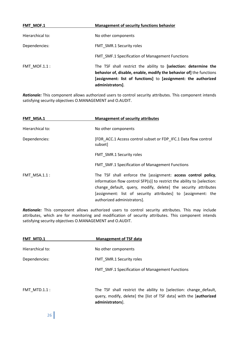| FMT MOF.1           | <b>Management of security functions behavior</b>                                                                                                                                                                             |
|---------------------|------------------------------------------------------------------------------------------------------------------------------------------------------------------------------------------------------------------------------|
| Hierarchical to:    | No other components                                                                                                                                                                                                          |
| Dependencies:       | FMT SMR.1 Security roles                                                                                                                                                                                                     |
|                     | FMT SMF.1 Specification of Management Functions                                                                                                                                                                              |
| <b>FMT MOF.1.1:</b> | The TSF shall restrict the ability to [selection: determine the<br>behavior of, disable, enable, modify the behavior of] the functions<br>[assignment: list of functions] to [assignment: the authorized<br>administrators]. |

*Rationale:* This component allows authorized users to control security attributes. This component intends satisfying security objectives O.MANAGEMENT and O.AUDIT.

| FMT MSA.1        | <b>Management of security attributes</b>                                                                                                                                                                                                                                                                   |
|------------------|------------------------------------------------------------------------------------------------------------------------------------------------------------------------------------------------------------------------------------------------------------------------------------------------------------|
| Hierarchical to: | No other components                                                                                                                                                                                                                                                                                        |
| Dependencies:    | [FDR ACC.1 Access control subset or FDP IFC.1 Data flow control<br>subset]                                                                                                                                                                                                                                 |
|                  | FMT SMR.1 Security roles                                                                                                                                                                                                                                                                                   |
|                  | FMT SMF.1 Specification of Management Functions                                                                                                                                                                                                                                                            |
| FMT MSA.1.1 :    | The TSF shall enforce the [assignment: access control policy,<br>information flow control SFP(s)] to restrict the ability to [selection:<br>change default, query, modify, delete) the security attributes<br>[assignment: list of security attributes] to [assignment: the<br>authorized administrators]. |

*Rationale:* This component allows authorized users to control security attributes. This may include attributes, which are for monitoring and modification of security attributes. This component intends satisfying security objectives O.MANAGEMENT and O.AUDIT.

| FMT MTD.1        | <b>Management of TSF data</b>                                                                                                                              |
|------------------|------------------------------------------------------------------------------------------------------------------------------------------------------------|
| Hierarchical to: | No other components                                                                                                                                        |
| Dependencies:    | FMT SMR.1 Security roles                                                                                                                                   |
|                  | FMT SMF.1 Specification of Management Functions                                                                                                            |
| FMT MTD.1.1 :    | The TSF shall restrict the ability to [selection: change_default,<br>query, modify, delete] the [list of TSF data] with the [authorized<br>administrators. |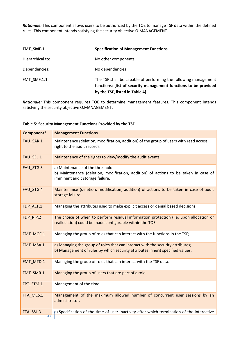*Rationale:* This component allows users to be authorized by the TOE to manage TSF data within the defined rules. This component intends satisfying the security objective O.MANAGEMENT.

| FMT SMF.1        | <b>Specification of Management Functions</b>                                                                                                                          |
|------------------|-----------------------------------------------------------------------------------------------------------------------------------------------------------------------|
| Hierarchical to: | No other components                                                                                                                                                   |
| Dependencies:    | No dependencies                                                                                                                                                       |
| FMT $SMF.1.1$ :  | The TSF shall be capable of performing the following management<br>functions: [list of security management functions to be provided<br>by the TSF, listed in Table 4] |

*Rationale:* This component requires TOE to determine management features. This component intends satisfying the security objective O.MANAGEMENT.

#### **Table 5: Security Management Functions Provided by the TSF**

| Component*                  | <b>Management Functions</b>                                                                                                                                     |
|-----------------------------|-----------------------------------------------------------------------------------------------------------------------------------------------------------------|
| FAU_SAR.1                   | Maintenance (deletion, modification, addition) of the group of users with read access<br>right to the audit records.                                            |
| FAU_SEL.1                   | Maintenance of the rights to view/modify the audit events.                                                                                                      |
| FAU_STG.3                   | a) Maintenance of the threshold;<br>b) Maintenance (deletion, modification, addition) of actions to be taken in case of<br>imminent audit storage failure.      |
| FAU_STG.4                   | Maintenance (deletion, modification, addition) of actions to be taken in case of audit<br>storage failure.                                                      |
| FDP_ACF.1                   | Managing the attributes used to make explicit access or denial based decisions.                                                                                 |
| FDP_RIP.2                   | The choice of when to perform residual information protection (i.e. upon allocation or<br>reallocation) could be made configurable within the TOE.              |
| FMT_MOF.1                   | Managing the group of roles that can interact with the functions in the TSF;                                                                                    |
| FMT_MSA.1                   | a) Managing the group of roles that can interact with the security attributes;<br>b) Management of rules by which security attributes inherit specified values. |
| FMT_MTD.1                   | Managing the group of roles that can interact with the TSF data.                                                                                                |
| FMT_SMR.1                   | Managing the group of users that are part of a role.                                                                                                            |
| FPT_STM.1                   | Management of the time.                                                                                                                                         |
| FTA_MCS.1                   | Management of the maximum allowed number of concurrent user sessions by an<br>administrator.                                                                    |
| FTA_SSL.3<br>$\overline{z}$ | a) Specification of the time of user inactivity after which termination of the interactive                                                                      |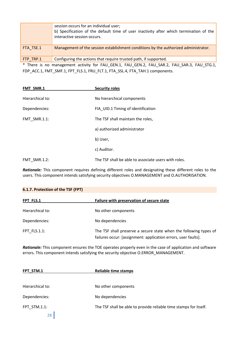|           | session occurs for an individual user;<br>b) Specification of the default time of user inactivity after which termination of the<br>interactive session occurs. |
|-----------|-----------------------------------------------------------------------------------------------------------------------------------------------------------------|
| FTA TSE.1 | Management of the session establishment conditions by the authorized administrator.                                                                             |
| FTP TRP.1 | Configuring the actions that require trusted path, if supported.                                                                                                |

\* There is no management activity for FAU\_GEN.1, FAU\_GEN.2, FAU\_SAR.2, FAU\_SAR.3, FAU\_STG.1, FDP\_ACC.1, FMT\_SMF.1, FPT\_FLS.1, FRU\_FLT.1, FTA\_SSL.4, FTA\_TAH.1 components.

| FMT SMR.1           | <b>Security roles</b>                                |
|---------------------|------------------------------------------------------|
| Hierarchical to:    | No hierarchical components                           |
| Dependencies:       | FIA UID.1 Timing of identification                   |
| <b>FMT SMR.1.1:</b> | The TSF shall maintain the roles,                    |
|                     | a) authorized administrator                          |
|                     | b) User,                                             |
|                     | c) Auditor.                                          |
| <b>FMT SMR.1.2:</b> | The TSF shall be able to associate users with roles. |

*Rationale:* This component requires defining different roles and designating these different roles to the users. This component intends satisfying security objectives O.MANAGEMENT and O.AUTHORISATION.

<span id="page-27-0"></span>

| 6.1.7. Protection of the TSF (FPT) |                                                                                                                                     |
|------------------------------------|-------------------------------------------------------------------------------------------------------------------------------------|
| FPT FLS.1                          | Failure with preservation of secure state                                                                                           |
| Hierarchical to:                   | No other components                                                                                                                 |
| Dependencies:                      | No dependencies                                                                                                                     |
| $FPT$ $FLS.1.1$ :                  | The TSF shall preserve a secure state when the following types of<br>failures occur: [assignment: application errors, user faults]. |

*Rationale:* This component ensures the TOE operates properly even in the case of application and software errors. This component intends satisfying the security objective O.ERROR\_MANAGEMENT.

| FPT STM.1           | <b>Reliable time stamps</b>                                       |
|---------------------|-------------------------------------------------------------------|
|                     |                                                                   |
| Hierarchical to:    | No other components                                               |
| Dependencies:       | No dependencies                                                   |
| <b>FPT STM.1.1:</b> | The TSF shall be able to provide reliable time stamps for itself. |
| $\sim$ $\sim$       |                                                                   |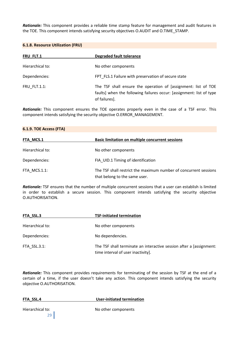*Rationale:* This component provides a reliable time stamp feature for management and audit features in the TOE. This component intends satisfying security objectives O.AUDIT and O.TIME\_STAMP.

#### <span id="page-28-0"></span>**6.1.8. Resource Utilization (FRU)**

| FRU FLT.1        | <b>Degraded fault tolerance</b>                                                                                                                         |
|------------------|---------------------------------------------------------------------------------------------------------------------------------------------------------|
| Hierarchical to: | No other components                                                                                                                                     |
| Dependencies:    | FPT FLS.1 Failure with preservation of secure state                                                                                                     |
| FRU FLT.1.1:     | The TSF shall ensure the operation of [assignment: list of TOE<br>faults] when the following failures occur: [assignment: list of type<br>of failures]. |

*Rationale:* This component ensures the TOE operates properly even in the case of a TSF error. This component intends satisfying the security objective O.ERROR\_MANAGEMENT.

<span id="page-28-1"></span>

| 6.1.9. TOE Access (FTA) |                                                                                                   |
|-------------------------|---------------------------------------------------------------------------------------------------|
| FTA MCS.1               | <b>Basic limitation on multiple concurrent sessions</b>                                           |
| Hierarchical to:        | No other components                                                                               |
| Dependencies:           | FIA UID.1 Timing of identification                                                                |
| FTA MCS.1.1:            | The TSF shall restrict the maximum number of concurrent sessions<br>that belong to the same user. |

*Rationale:* TSF ensures that the number of multiple concurrent sessions that a user can establish is limited in order to establish a secure session. This component intends satisfying the security objective O.AUTHORISATION.

| FTA SSL.3        | <b>TSF-initiated termination</b>                                                                          |
|------------------|-----------------------------------------------------------------------------------------------------------|
| Hierarchical to: | No other components                                                                                       |
| Dependencies:    | No dependencies.                                                                                          |
| FTA SSL.3.1:     | The TSF shall terminate an interactive session after a [assignment:<br>time interval of user inactivity]. |

*Rationale:* This component provides requirements for terminating of the session by TSF at the end of a certain of a time, if the user doesn't take any action. This component intends satisfying the security objective O.AUTHORISATION.

**FTA\_SSL.4 User-initiated termination**

29

Hierarchical to: No other components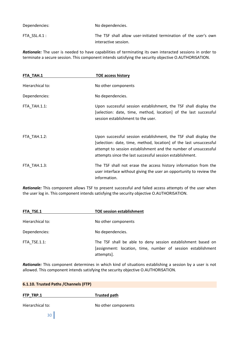Dependencies: No dependencies.

FTA SSL.4.1 : The TSF shall allow user-initiated termination of the user's own interactive session.

*Rationale:* The user is needed to have capabilities of terminating its own interacted sessions in order to terminate a secure session. This component intends satisfying the security objective O.AUTHORISATION.

| FTA TAH.1           | <b>TOE access history</b>                                                                                                                                                                                                                                              |
|---------------------|------------------------------------------------------------------------------------------------------------------------------------------------------------------------------------------------------------------------------------------------------------------------|
| Hierarchical to:    | No other components                                                                                                                                                                                                                                                    |
| Dependencies:       | No dependencies.                                                                                                                                                                                                                                                       |
| <b>FTA TAH.1.1:</b> | Upon successful session establishment, the TSF shall display the<br>[selection: date, time, method, location] of the last successful<br>session establishment to the user.                                                                                             |
| <b>FTA TAH.1.2:</b> | Upon successful session establishment, the TSF shall display the<br>[selection: date, time, method, location] of the last unsuccessful<br>attempt to session establishment and the number of unsuccessful<br>attempts since the last successful session establishment. |
| <b>FTA TAH.1.3:</b> | The TSF shall not erase the access history information from the<br>user interface without giving the user an opportunity to review the<br>information.                                                                                                                 |

*Rationale:* This component allows TSF to present successful and failed access attempts of the user when the user log in. This component intends satisfying the security objective O.AUTHORISATION.

| FTA TSE.1        | <b>TOE session establishment</b>                                                                                                           |
|------------------|--------------------------------------------------------------------------------------------------------------------------------------------|
| Hierarchical to: | No other components                                                                                                                        |
| Dependencies:    | No dependencies.                                                                                                                           |
| FTA TSE.1.1:     | The TSF shall be able to deny session establishment based on<br>[assignment: location, time, number of session establishment<br>attempts]. |

*Rationale:* This component determines in which kind of situations establishing a session by a user is not allowed. This component intends satisfying the security objective O.AUTHORISATION.

<span id="page-29-0"></span>

| 6.1.10. Trusted Paths / Channels (FTP) |
|----------------------------------------|
|----------------------------------------|

**FTP\_TRP.1** Trusted path

Hierarchical to: No other components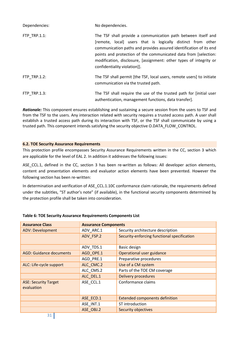| Dependencies: | No dependencies.                                                                                                                                                                                                                                                                                                                                                            |
|---------------|-----------------------------------------------------------------------------------------------------------------------------------------------------------------------------------------------------------------------------------------------------------------------------------------------------------------------------------------------------------------------------|
| FTP TRP.1.1:  | The TSF shall provide a communication path between itself and<br>[remote, local] users that is logically distinct from other<br>communication paths and provides assured identification of its end<br>points and protection of the communicated data from [selection:<br>modification, disclosure, [assignment: other types of integrity or<br>confidentiality violation]]. |
| FTP TRP.1.2:  | The TSF shall permit [the TSF, local users, remote users] to initiate<br>communication via the trusted path.                                                                                                                                                                                                                                                                |
| FTP TRP.1.3:  | The TSF shall require the use of the trusted path for [initial user<br>authentication, management functions, data transfer].                                                                                                                                                                                                                                                |

*Rationale:* This component ensures establishing and sustaining a secure session from the users to TSF and from the TSF to the users. Any interaction related with security requires a trusted access path. A user shall establish a trusted access path during its interaction with TSF, or the TSF shall communicate by using a trusted path. This component intends satisfying the security objective O.DATA\_FLOW\_CONTROL.

#### <span id="page-30-0"></span>**6.2. TOE Security Assurance Requirements**

This protection profile encompasses Security Assurance Requirements written in the CC, section 3 which are applicable for the level of EAL 2. In addition it addresses the following issues:

ASE\_CCL.1, defined in the CC, section 3 has been re-written as follows: All developer action elements, content and presentation elements and evaluator action elements have been prevented. However the following section has been re-written:

In determination and verification of ASE\_CCL.1.10C conformance claim rationale, the requirements defined under the subtitles, "ST author's note" (if available), in the functional security components determined by the protection profile shall be taken into consideration.

| <b>Assurance Class</b>                    | <b>Assurance Components</b> |                                             |  |  |  |  |
|-------------------------------------------|-----------------------------|---------------------------------------------|--|--|--|--|
| <b>ADV: Development</b>                   | ADV_ARC.1                   | Security architecture description           |  |  |  |  |
|                                           | ADV FSP.2                   | Security-enforcing functional specification |  |  |  |  |
|                                           | ADV TDS.1                   | Basic design                                |  |  |  |  |
| <b>AGD: Guidance documents</b>            | AGD_OPE.1                   | <b>Operational user guidance</b>            |  |  |  |  |
|                                           | AGD PRE.1                   | Preparative procedures                      |  |  |  |  |
| ALC: Life-cycle support                   | ALC CMC.2                   | Use of a CM system                          |  |  |  |  |
|                                           | ALC_CMS.2                   | Parts of the TOE CM coverage                |  |  |  |  |
|                                           | ALC DEL.1                   | <b>Delivery procedures</b>                  |  |  |  |  |
| <b>ASE: Security Target</b><br>evaluation | ASE CCL.1                   | Conformance claims                          |  |  |  |  |
|                                           | ASE ECD.1                   | <b>Extended components definition</b>       |  |  |  |  |
|                                           | ASE INT.1                   | ST introduction                             |  |  |  |  |
|                                           | ASE OBJ.2                   | Security objectives                         |  |  |  |  |

#### **Table 6: TOE Security Assurance Requirements Components List**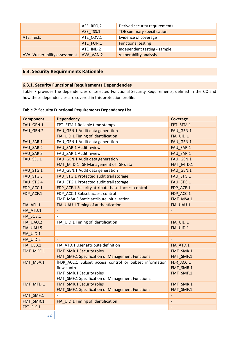|                               | ASE_REQ.2 | Derived security requirements |  |  |  |
|-------------------------------|-----------|-------------------------------|--|--|--|
|                               | ASE TSS.1 | TOE summary specification.    |  |  |  |
| ATE: Tests                    | ATE COV.1 | Evidence of coverage          |  |  |  |
|                               | ATE FUN.1 | <b>Functional testing</b>     |  |  |  |
|                               | ATE IND.2 | Independent testing - sample  |  |  |  |
| AVA: Vulnerability assessment | AVA VAN.2 | <b>Vulnerability analysis</b> |  |  |  |

# <span id="page-31-0"></span>**6.3. Security Requirements Rationale**

# <span id="page-31-1"></span>**6.3.1. Security Functional Requirements Dependencies**

Table 7 provides the dependencies of selected Functional Security Requirements, defined in the CC and how these dependencies are covered in this protection profile.

#### **Table 7: Security Functional Requirements Dependency List**

| <b>Component</b> | <b>Dependency</b>                                      | <b>Coverage</b>          |
|------------------|--------------------------------------------------------|--------------------------|
| FAU GEN.1        | FPT_STM.1 Reliable time stamps                         | FPT STM.1                |
| FAU GEN.2        | FAU GEN.1 Audit data generation                        | FAU GEN.1                |
|                  | FIA_UID.1 Timing of identification                     | FIA_UID.1                |
| FAU_SAR.1        | FAU_GEN.1 Audit data generation                        | FAU_GEN.1                |
| FAU SAR.2        | FAU SAR.1 Audit review                                 | FAU SAR.1                |
| FAU SAR.3        | FAU SAR.1 Audit review                                 | FAU SAR.1                |
| FAU SEL.1        | FAU GEN.1 Audit data generation                        | FAU GEN.1                |
|                  | FMT_MTD.1 TSF Management of TSF data                   | FMT_MTD.1                |
| FAU_STG.1        | FAU_GEN.1 Audit data generation                        | FAU GEN.1                |
| FAU STG.3        | FAU_STG.1 Protected audit trail storage                | FAU STG.1                |
| FAU STG.4        | FAU STG.1 Protected audit trail storage                | FAU STG.1                |
| FDP ACC.1        | FDP_ACF.1 Security attribute-based access control      | FDP ACF.1                |
| FDP ACF.1        | FDP ACC.1 Subset access control                        | FDP ACC.1                |
|                  | FMT_MSA.3 Static attribute initialization              | FMT_MSA.1                |
| FIA_AFL.1        | FIA_UAU.1 Timing of authentication                     | FIA_UAU.1                |
| FIA ATD.1        | $\blacksquare$                                         | $\overline{\phantom{a}}$ |
| FIA SOS.1        | $\overline{a}$                                         |                          |
| FIA UAU.2        | FIA_UID.1 Timing of identification                     | FIA_UID.1                |
| FIA_UAU.5        |                                                        | FIA_UID.1                |
| FIA UID.1        | $\blacksquare$                                         |                          |
| FIA_UID.2        | $\mathbb{L}^+$                                         | $\overline{\phantom{a}}$ |
| FIA USB.1        | FIA ATD.1 User attribute definition                    | FIA ATD.1                |
| FMT MOF.1        | FMT SMR.1 Security roles                               | FMT SMR.1                |
|                  | FMT_SMF.1 Specification of Management Functions        | FMT SMF.1                |
| FMT MSA.1        | [FDR_ACC.1 Subset access control or Subset information | FDR ACC.1                |
|                  | flow control                                           | FMT SMR.1                |
|                  | FMT SMR.1 Security roles                               | FMT_SMF.1                |
|                  | FMT_SMF.1 Specification of Management Functions.       |                          |
| FMT MTD.1        | FMT SMR.1 Security roles                               | FMT SMR.1                |
|                  | FMT_SMF.1 Specification of Management Functions        | FMT_SMF.1                |
| FMT_SMF.1        |                                                        |                          |
| FMT_SMR.1        | FIA_UID.1 Timing of identification                     |                          |
| FPT FLS.1        |                                                        | $\overline{\phantom{a}}$ |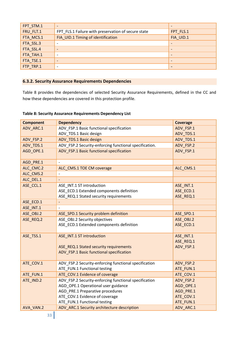| FPT_STM.1 |                                                     |           |
|-----------|-----------------------------------------------------|-----------|
| FRU_FLT.1 | FPT_FLS.1 Failure with preservation of secure state | FPT_FLS.1 |
| FTA_MCS.1 | FIA UID.1 Timing of identification                  | FIA UID.1 |
| FTA_SSL.3 |                                                     |           |
| FTA_SSL.4 |                                                     |           |
| FTA_TAH.1 |                                                     |           |
| FTA_TSE.1 |                                                     |           |
| FTP TRP.1 |                                                     |           |

#### <span id="page-32-0"></span>**6.3.2. Security Assurance Requirements Dependencies**

Table 8 provides the dependencies of selected Security Assurance Requirements, defined in the CC and how these dependencies are covered in this protection profile.

#### **Table 8: Security Assurance Requirements Dependency List**

| <b>Component</b> | <b>Dependency</b>                                      | <b>Coverage</b> |
|------------------|--------------------------------------------------------|-----------------|
| ADV_ARC.1        | ADV FSP.1 Basic functional specification               | ADV FSP.1       |
|                  | ADV_TDS.1 Basic design                                 | ADV_TDS.1       |
| ADV_FSP.2        | ADV_TDS.1 Basic design                                 | ADV TDS.1       |
| ADV_TDS.1        | ADV_FSP.2 Security-enforcing functional specification. | ADV_FSP.2       |
| AGD OPE.1        | ADV FSP.1 Basic functional specification               | ADV FSP.1       |
| AGD_PRE.1        | $\overline{\phantom{a}}$                               |                 |
| ALC_CMC.2        | ALC_CMS.1 TOE CM coverage                              | ALC_CMS.1       |
| ALC CMS.2        |                                                        |                 |
| ALC_DEL.1        | L.                                                     |                 |
| ASE CCL.1        | ASE INT.1 ST introduction                              | ASE_INT.1       |
|                  | ASE_ECD.1 Extended components definition               | ASE ECD.1       |
|                  | ASE_REQ.1 Stated security requirements                 | ASE_REQ.1       |
| ASE_ECD.1        | $\overline{\phantom{a}}$                               |                 |
| ASE_INT.1        | $\overline{a}$                                         |                 |
| ASE_OBJ.2        | ASE_SPD.1 Security problem definition                  | ASE_SPD.1       |
| ASE_REQ.2        | ASE_OBJ.2 Security objectives                          | ASE_OBJ.2       |
|                  | ASE_ECD.1 Extended components definition               | ASE_ECD.1       |
| ASE_TSS.1        | ASE_INT.1 ST introduction                              | ASE_INT.1       |
|                  |                                                        | ASE_REQ.1       |
|                  | ASE REQ.1 Stated security requirements                 | ADV_FSP.1       |
|                  | ADV_FSP.1 Basic functional specification               |                 |
| ATE_COV.1        | ADV_FSP.2 Security-enforcing functional specification  | ADV_FSP.2       |
|                  | ATE_FUN.1 Functional testing                           | ATE_FUN.1       |
| ATE FUN.1        | ATE COV.1 Evidence of coverage                         | ATE COV.1       |
| ATE_IND.2        | ADV FSP.2 Security-enforcing functional specification  | ADV_FSP.2       |
|                  | AGD OPE.1 Operational user guidance                    | AGD_OPE.1       |
|                  | AGD PRE.1 Preparative procedures                       | AGD PRE.1       |
|                  | ATE_COV.1 Evidence of coverage                         | ATE_COV.1       |
|                  | ATE_FUN.1 Functional testing                           | ATE_FUN.1       |
| AVA_VAN.2        | ADV_ARC.1 Security architecture description            | ADV_ARC.1       |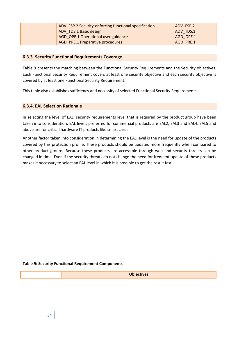| ADV FSP.2 Security-enforcing functional specification<br>ADV TDS.1 Basic design | ADV FSP.2<br>ADV TDS.1 |
|---------------------------------------------------------------------------------|------------------------|
| AGD OPE.1 Operational user guidance<br>AGD PRE.1 Preparative procedures         | AGD OPE.1<br>AGD PRE.1 |

#### <span id="page-33-0"></span>**6.3.3. Security Functional Requirements Coverage**

Table 9 presents the matching between the Functional Security Requirements and the Security objectives. Each Functional Security Requirement covers at least one security objective and each security objective is covered by at least one Functional Security Requirement.

This table also establishes sufficiency and necessity of selected Functional Security Requirements.

#### <span id="page-33-1"></span>**6.3.4. EAL Selection Rationale**

In selecting the level of EAL, security requirements level that is required by the product group have been taken into consideration. EAL levels preferred for commercial products are EAL2, EAL3 and EAL4. EAL5 and above are for critical hardware IT products like smart cards.

Another factor taken into consideration in determining the EAL level is the need for update of the products covered by this protection profile. These products should be updated more frequently when compared to other product groups. Because these products are accessible through web and security threats can be changed in time. Even if the security threats do not change the need for frequent update of these products makes it necessary to select an EAL level in which it is possible to get the result fast.

#### **Table 9: Security Functional Requirement Components**

**Objectives**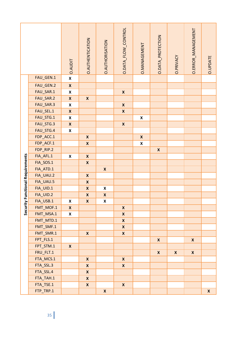|                                         |           | <b>O.AUDIT</b>     | <b>O.AUTHENTICATION</b> | <b>O.AUTHORISATION</b> | O.DATA_FLOW_CONTROL | O. MANAGEMENT      | O.DATA_PROTECTION  | <b>O.PRIVACY</b> | O. ERROR_MANAGEMENT | <b>O.UPDATE</b> |
|-----------------------------------------|-----------|--------------------|-------------------------|------------------------|---------------------|--------------------|--------------------|------------------|---------------------|-----------------|
|                                         | FAU_GEN.1 | $\mathsf{X}% _{0}$ |                         |                        |                     |                    |                    |                  |                     |                 |
|                                         | FAU_GEN.2 | $\pmb{\mathsf{X}}$ |                         |                        |                     |                    |                    |                  |                     |                 |
|                                         | FAU_SAR.1 | $\pmb{\mathsf{X}}$ |                         |                        | $\pmb{\mathsf{X}}$  |                    |                    |                  |                     |                 |
|                                         | FAU_SAR.2 | $\mathbf{X}$       | $\pmb{\mathsf{X}}$      |                        |                     |                    |                    |                  |                     |                 |
|                                         | FAU_SAR.3 | X                  |                         |                        | $\pmb{\mathsf{X}}$  |                    |                    |                  |                     |                 |
|                                         | FAU_SEL.1 | $\pmb{\mathsf{X}}$ |                         |                        | $\mathsf{X}$        |                    |                    |                  |                     |                 |
|                                         | FAU_STG.1 | $\pmb{\mathsf{X}}$ |                         |                        |                     | $\pmb{\mathsf{X}}$ |                    |                  |                     |                 |
|                                         | FAU_STG.3 | $\pmb{\mathsf{X}}$ |                         |                        | $\pmb{\mathsf{X}}$  |                    |                    |                  |                     |                 |
|                                         | FAU_STG.4 | $\pmb{\mathsf{X}}$ |                         |                        |                     |                    |                    |                  |                     |                 |
|                                         | FDP_ACC.1 |                    | $\pmb{\mathsf{X}}$      |                        |                     | $\pmb{\mathsf{X}}$ |                    |                  |                     |                 |
|                                         | FDP_ACF.1 |                    | $\pmb{\mathsf{X}}$      |                        |                     | $\pmb{\mathsf{X}}$ |                    |                  |                     |                 |
|                                         | FDP_RIP.2 |                    |                         |                        |                     |                    | $\pmb{\mathsf{X}}$ |                  |                     |                 |
|                                         | FIA_AFL.1 | $\pmb{\mathsf{X}}$ | $\pmb{\mathsf{X}}$      |                        |                     |                    |                    |                  |                     |                 |
|                                         | FIA_SOS.1 |                    | $\pmb{\mathsf{X}}$      |                        |                     |                    |                    |                  |                     |                 |
|                                         | FIA_ATD.1 |                    |                         | $\pmb{\mathsf{X}}$     |                     |                    |                    |                  |                     |                 |
|                                         | FIA_UAU.2 |                    | $\pmb{\mathsf{X}}$      |                        |                     |                    |                    |                  |                     |                 |
|                                         | FIA_UAU.5 |                    | $\pmb{\mathsf{X}}$      |                        |                     |                    |                    |                  |                     |                 |
|                                         | FIA_UID.1 |                    | $\pmb{\mathsf{X}}$      | X                      |                     |                    |                    |                  |                     |                 |
|                                         | FIA_UID.2 |                    | $\pmb{\mathsf{X}}$      | $\pmb{\mathsf{X}}$     |                     |                    |                    |                  |                     |                 |
| <b>Security Functional Requirements</b> | FIA_USB.1 | X                  | $\pmb{\mathsf{X}}$      | $\pmb{\mathsf{X}}$     |                     |                    |                    |                  |                     |                 |
|                                         | FMT_MOF.1 | $\mathsf{X}$       |                         |                        | $\pmb{\mathsf{X}}$  |                    |                    |                  |                     |                 |
|                                         | FMT_MSA.1 | $\mathsf{X}$       |                         |                        | $\mathbf{x}$        |                    |                    |                  |                     |                 |
|                                         | FMT_MTD.1 |                    |                         |                        | $\boldsymbol{x}$    |                    |                    |                  |                     |                 |
|                                         | FMT_SMF.1 |                    |                         |                        | $\boldsymbol{x}$    |                    |                    |                  |                     |                 |
|                                         | FMT_SMR.1 |                    | $\mathbf{x}$            |                        | $\mathbf{x}$        |                    |                    |                  |                     |                 |
|                                         | FPT_FLS.1 |                    |                         |                        |                     |                    | $\mathsf{X}$       |                  | $\mathsf{X}$        |                 |
|                                         | FPT_STM.1 | $\mathbf{x}$       |                         |                        |                     |                    |                    |                  |                     |                 |
|                                         | FRU_FLT.1 |                    |                         |                        |                     |                    | $\mathbf{x}$       | $\mathbf{x}$     | $\mathbf{X}$        |                 |
|                                         | FTA_MCS.1 |                    | $\mathbf{X}$            |                        | $\mathsf{X}$        |                    |                    |                  |                     |                 |
|                                         | FTA_SSL.3 |                    | $\pmb{\mathsf{X}}$      |                        | $\pmb{\mathsf{X}}$  |                    |                    |                  |                     |                 |
|                                         | FTA_SSL.4 |                    | $\pmb{\mathsf{X}}$      |                        |                     |                    |                    |                  |                     |                 |
|                                         | FTA_TAH.1 |                    | $\mathbf{x}$            |                        |                     |                    |                    |                  |                     |                 |
|                                         | FTA_TSE.1 |                    | $\pmb{\mathsf{X}}$      |                        | $\mathbf x$         |                    |                    |                  |                     |                 |
|                                         | FTP_TRP.1 |                    |                         | $\pmb{\mathsf{X}}$     |                     |                    |                    |                  |                     | $\mathbf x$     |